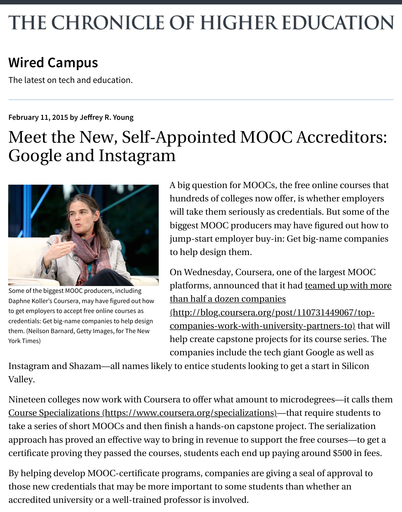## THE CHRONICLE OF HIGHER EDUCATION

## **[Wired Campus](http://chronicle.com/blogs/wiredcampus)**

The latest on tech and education.

## **February 11, 2015 by Jef[rey R. Young](http://chronicle.com/blogs/wiredcampus/author/jyoung)**

## Meet the New, Self-Appointed MOOC Accreditors: Google and Instagram



Some of the biggest MOOC producers, including Daphne Koller's Coursera, may have figured out how to get employers to accept free online courses as credentials: Get big-name companies to help design them. (Neilson Barnard, Getty Images, for The New York Times)

A big question for MOOCs, the free online courses that hundreds of colleges now offer, is whether employers will take them seriously as credentials. But some of the biggest MOOC producers may have figured out how to jump-start employer buy-in: Get big-name companies to help design them.

On Wednesday, Coursera, one of the largest MOOC [platforms, announced that it had teamed up with more](http://blog.coursera.org/post/110731449067/top-companies-work-with-university-partners-to) than half a dozen companies (http://blog.coursera.org/post/110731449067/topcompanies-work-with-university-partners-to) that will help create capstone projects for its course series. The companies include the tech giant Google as well as

Instagram and Shazam—all names likely to entice students looking to get a start in Silicon Valley.

Nineteen colleges now work with Coursera to offer what amount to microdegrees—it calls them [Course Specializations \(https://www.coursera.org/specializations\)—](https://www.coursera.org/specializations)that require students to take a series of short MOOCs and then finish a hands-on capstone project. The serialization approach has proved an effective way to bring in revenue to support the free courses—to get a certificate proving they passed the courses, students each end up paying around \$500 in fees.

By helping develop MOOC-certificate programs, companies are giving a seal of approval to those new credentials that may be more important to some students than whether an accredited university or a well-trained professor is involved.